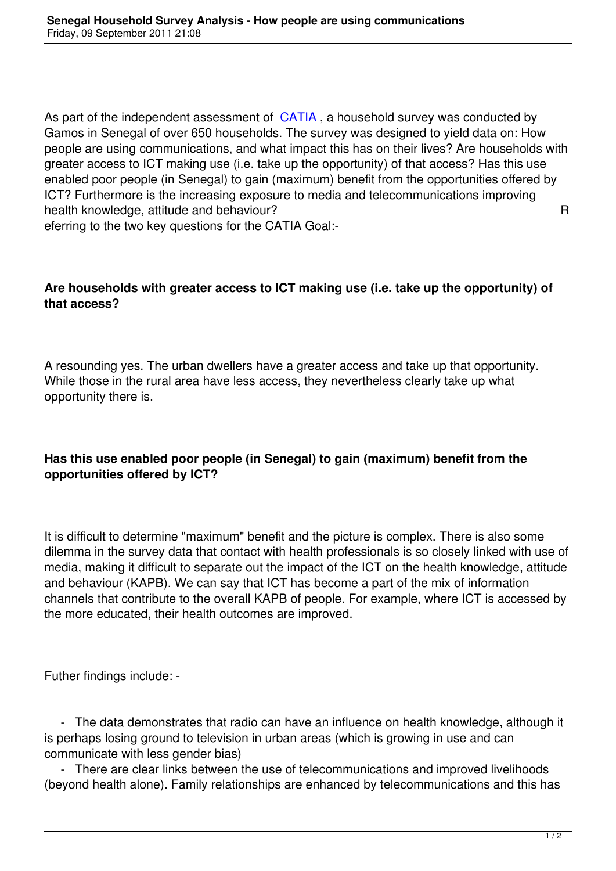As part of the independent assessment of CATIA, a household survey was conducted by Gamos in Senegal of over 650 households. The survey was designed to yield data on: How people are using communications, and what impact this has on their lives? Are households with greater access to ICT making use (i.e. tak[e up the](index.php?option=com_content&view=article&id=129:-catia-catalysing-access-to-ict-in-africa&catid=40:icts&Itemid=77) opportunity) of that access? Has this use enabled poor people (in Senegal) to gain (maximum) benefit from the opportunities offered by ICT? Furthermore is the increasing exposure to media and telecommunications improving health knowledge, attitude and behaviour? A mealth control with the R

eferring to the two key questions for the CATIA Goal:-

## **Are households with greater access to ICT making use (i.e. take up the opportunity) of that access?**

A resounding yes. The urban dwellers have a greater access and take up that opportunity. While those in the rural area have less access, they nevertheless clearly take up what opportunity there is.

## **Has this use enabled poor people (in Senegal) to gain (maximum) benefit from the opportunities offered by ICT?**

It is difficult to determine "maximum" benefit and the picture is complex. There is also some dilemma in the survey data that contact with health professionals is so closely linked with use of media, making it difficult to separate out the impact of the ICT on the health knowledge, attitude and behaviour (KAPB). We can say that ICT has become a part of the mix of information channels that contribute to the overall KAPB of people. For example, where ICT is accessed by the more educated, their health outcomes are improved.

Futher findings include: -

 - The data demonstrates that radio can have an influence on health knowledge, although it is perhaps losing ground to television in urban areas (which is growing in use and can communicate with less gender bias)

 - There are clear links between the use of telecommunications and improved livelihoods (beyond health alone). Family relationships are enhanced by telecommunications and this has